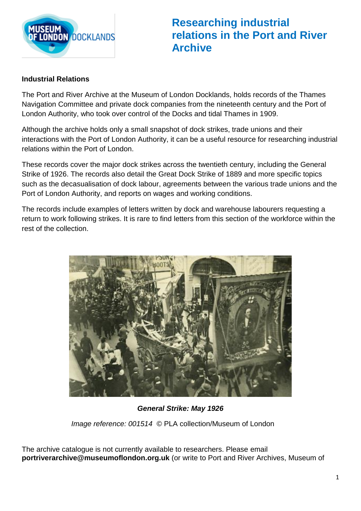

**Researching industrial relations in the Port and River Archive**

## **Industrial Relations**

The Port and River Archive at the Museum of London Docklands, holds records of the Thames Navigation Committee and private dock companies from the nineteenth century and the Port of London Authority, who took over control of the Docks and tidal Thames in 1909.

Although the archive holds only a small snapshot of dock strikes, trade unions and their interactions with the Port of London Authority, it can be a useful resource for researching industrial relations within the Port of London.

These records cover the major dock strikes across the twentieth century, including the General Strike of 1926. The records also detail the Great Dock Strike of 1889 and more specific topics such as the decasualisation of dock labour, agreements between the various trade unions and the Port of London Authority, and reports on wages and working conditions.

The records include examples of letters written by dock and warehouse labourers requesting a return to work following strikes. It is rare to find letters from this section of the workforce within the rest of the collection.



*General Strike: May 1926* 

*Image reference: 001514* © PLA collection/Museum of London

The archive catalogue is not currently available to researchers. Please email **portriverarchive@museumoflondon.org.uk** (or write to Port and River Archives, Museum of